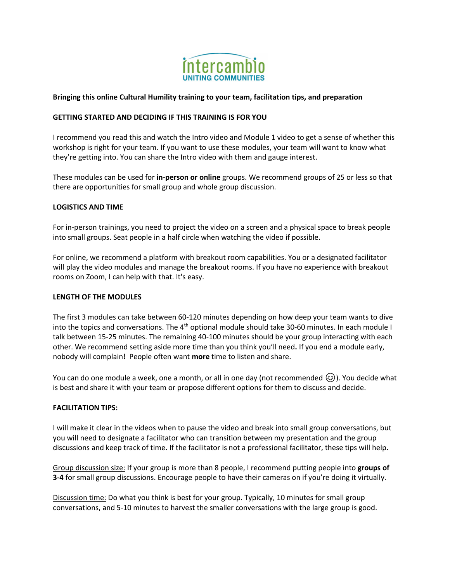

### **Bringing this online Cultural Humility training to your team, facilitation tips, and preparation**

#### **GETTING STARTED AND DECIDING IF THIS TRAINING IS FOR YOU**

I recommend you read this and watch the Intro video and Module 1 video to get a sense of whether this workshop is right for your team. If you want to use these modules, your team will want to know what they're getting into. You can share the Intro video with them and gauge interest.

These modules can be used for **in-person or online** groups. We recommend groups of 25 or less so that there are opportunities for small group and whole group discussion.

### **LOGISTICS AND TIME**

For in-person trainings, you need to project the video on a screen and a physical space to break people into small groups. Seat people in a half circle when watching the video if possible.

For online, we recommend a platform with breakout room capabilities. You or a designated facilitator will play the video modules and manage the breakout rooms. If you have no experience with breakout rooms on Zoom, I can help with that. It's easy.

#### **LENGTH OF THE MODULES**

The first 3 modules can take between 60-120 minutes depending on how deep your team wants to dive into the topics and conversations. The 4<sup>th</sup> optional module should take 30-60 minutes. In each module I talk between 15-25 minutes. The remaining 40-100 minutes should be your group interacting with each other. We recommend setting aside more time than you think you'll need**.** If you end a module early, nobody will complain! People often want **more** time to listen and share.

You can do one module a week, one a month, or all in one day (not recommended  $\circledast$ ). You decide what is best and share it with your team or propose different options for them to discuss and decide.

# **FACILITATION TIPS:**

I will make it clear in the videos when to pause the video and break into small group conversations, but you will need to designate a facilitator who can transition between my presentation and the group discussions and keep track of time. If the facilitator is not a professional facilitator, these tips will help.

Group discussion size: If your group is more than 8 people, I recommend putting people into **groups of 3-4** for small group discussions. Encourage people to have their cameras on if you're doing it virtually.

Discussion time: Do what you think is best for your group. Typically, 10 minutes for small group conversations, and 5-10 minutes to harvest the smaller conversations with the large group is good.